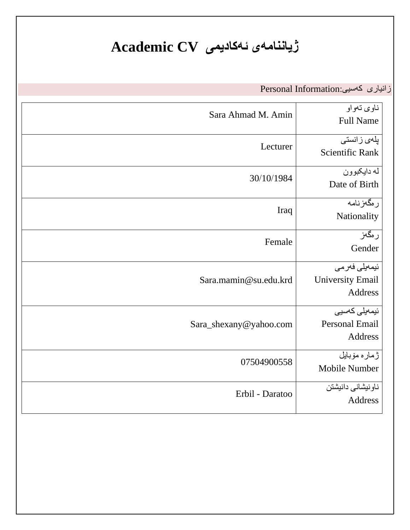## **ژیاننامەی ئەکادیمی CV Academic**

## زانیاری کەسیی:Information Personal

| Sara Ahmad M. Amin     | ناوی تەواو<br><b>Full Name</b>                      |
|------------------------|-----------------------------------------------------|
| Lecturer               | پلەى زانستى<br><b>Scientific Rank</b>               |
| 30/10/1984             | له دايکبوون<br>Date of Birth                        |
| Iraq                   | رەگەزنامە<br>Nationality                            |
| Female                 | رەگەز<br>Gender                                     |
| Sara.mamin@su.edu.krd  | ئیمەیلی فەرمى<br><b>University Email</b><br>Address |
| Sara_shexany@yahoo.com | ئیمەیلی كەسپى<br>Personal Email<br>Address          |
| 07504900558            | ژماره مۆبايل<br>Mobile Number                       |
| Erbil - Daratoo        | ناونیشانی دانیشتن<br>Address                        |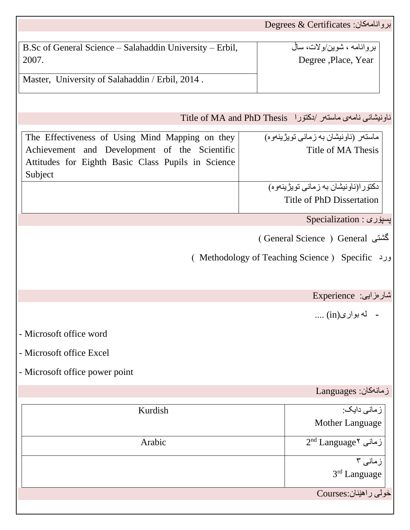|                                                                                                                                                                   | Degrees & Certificates :بروانامهكان                                      |
|-------------------------------------------------------------------------------------------------------------------------------------------------------------------|--------------------------------------------------------------------------|
| B.Sc of General Science - Salahaddin University - Erbil,<br>2007.                                                                                                 | بروانامه ، شوين/ولات، سال<br>Degree , Place, Year                        |
| Master, University of Salahaddin / Erbil, 2014.                                                                                                                   |                                                                          |
|                                                                                                                                                                   |                                                                          |
|                                                                                                                                                                   | ناونیشانی نامهی ماستهر /دکتورا Title of MA and PhD Thesis                |
| The Effectiveness of Using Mind Mapping on they<br>Achievement and Development of the Scientific<br>Attitudes for Eighth Basic Class Pupils in Science<br>Subject | ماستهر (ناونیشان به زمانی تویژینهوه)<br>Title of MA Thesis               |
|                                                                                                                                                                   | دکتور ا(ناونیشان به زمانی تویژینهوه)<br><b>Title of PhD Dissertation</b> |
|                                                                                                                                                                   | Specialization : پسپۆرى                                                  |
|                                                                                                                                                                   | ( General Science ) General $\tilde{\mathcal{S}}$ گشتی                   |
|                                                                                                                                                                   | ( Methodology of Teaching Science ) Specific 3 ورد                       |
|                                                                                                                                                                   | شارەزايى: Experience                                                     |
|                                                                                                                                                                   | ـ   له بوارى(in) ….                                                      |
| - Microsoft office word                                                                                                                                           |                                                                          |
| - Microsoft office Excel                                                                                                                                          |                                                                          |
| - Microsoft office power point                                                                                                                                    |                                                                          |
|                                                                                                                                                                   | زمانهكان: Languages                                                      |
| Kurdish                                                                                                                                                           | زمانی دایک:<br>Mother Language                                           |
|                                                                                                                                                                   |                                                                          |
| Arabic                                                                                                                                                            |                                                                          |
|                                                                                                                                                                   | 2 <sup>nd</sup> Language Y زمانی<br>زمانی ۳<br>3rd Language              |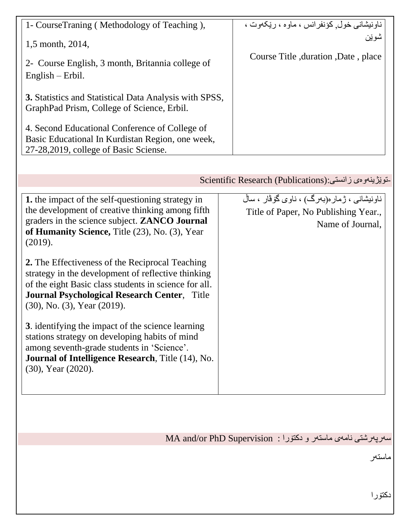| 1- CourseTraning (Methodology of Teaching),                   | ناونيشاني خول كؤنفرانس ، ماوه ، رێکەوت ، |
|---------------------------------------------------------------|------------------------------------------|
| 1,5 month, 2014,                                              | شوێن                                     |
| 2- Course English, 3 month, Britannia college of              | Course Title, duration, Date, place      |
| $English-Erbil.$                                              |                                          |
| <b>3.</b> Statistics and Statistical Data Analysis with SPSS, |                                          |
| GraphPad Prism, College of Science, Erbil.                    |                                          |
| 4. Second Educational Conference of College of                |                                          |
| Basic Educational In Kurdistan Region, one week,              |                                          |
| 27-28, 2019, college of Basic Sciense.                        |                                          |

|                                                                                                                                                                                                                                                               | -توپژينەوەي زانستى:(Scientific Research (Publications                                                    |
|---------------------------------------------------------------------------------------------------------------------------------------------------------------------------------------------------------------------------------------------------------------|----------------------------------------------------------------------------------------------------------|
| 1. the impact of the self-questioning strategy in<br>the development of creative thinking among fifth<br>graders in the science subject. <b>ZANCO Journal</b><br>of Humanity Science, Title (23), No. (3), Year<br>(2019).                                    | ناونیشانبی ، ژماره(بەرگ) ، ناوی گۆڤار ، سالْ<br>Title of Paper, No Publishing Year.,<br>Name of Journal, |
| 2. The Effectiveness of the Reciprocal Teaching<br>strategy in the development of reflective thinking<br>of the eight Basic class students in science for all.<br><b>Journal Psychological Research Center, Title</b><br>$(30)$ , No. $(3)$ , Year $(2019)$ . |                                                                                                          |
| 3. identifying the impact of the science learning<br>stations strategy on developing habits of mind<br>among seventh-grade students in 'Science'.<br><b>Journal of Intelligence Research, Title (14), No.</b><br>$(30)$ , Year $(2020)$ .                     |                                                                                                          |

سەرپەرشتى نامەی ماستەر و دكتورا : MA and/or PhD Supervision

ماستەر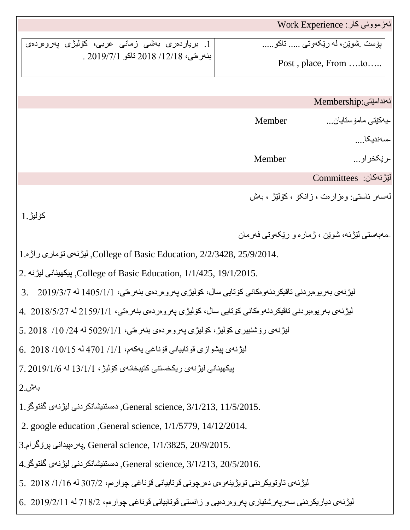|                                                                                                        | لنهزمووني كار: Work Experience                 |  |
|--------------------------------------------------------------------------------------------------------|------------------------------------------------|--|
| 1. بریاردمری بهشی زمانی عربی، کولیژی پهرومردهی                                                         | يۆست شوين، له ريكەوتى  تاكو                    |  |
| بنەرەتى، 12/18/ 2018 تاكو 2019/7/1 .                                                                   | Post, place, From to                           |  |
|                                                                                                        |                                                |  |
|                                                                                                        | Membership:ئەندامێتى                           |  |
|                                                                                                        | -يەكێتى مامۆستايان<br>Member                   |  |
|                                                                                                        | ـسەندېـكا                                      |  |
|                                                                                                        | ۔رێِکخراو<br>Member                            |  |
|                                                                                                        | لێڙنهکان: Committees                           |  |
|                                                                                                        | لمعسص ناستبي: وەزارەت ، زانكۆ ، كۆلنىژ ، بەش   |  |
| كۆلىژ .1                                                                                               |                                                |  |
|                                                                                                        | ۔مەبەستى لێژنە، شوێِن ، ژمارە و رێکەوتى فەرمان |  |
| .College of Basic Education, 2/2/3428, 25/9/2014, ليژنەی تۆمارى راژه.                                  |                                                |  |
| 2. 2011/2015, Education, 1/1/425, 19/1/2015, بِيكهيناني ليزنه,                                         |                                                |  |
| ليژنمي بەريومبردنىي تاقيكردنەومكانىي كۆتايى سال، كۆليژى پەرومردەي بنەرەتى، 1405/1/1 لە 3/7/9/3/7<br>3. |                                                |  |
| ليژنمي بىريومبردنىي تاقيكردنەومكانىي كۆتايى سال، كۆليژى پەرومردەي بنەرەتى، 2159/1/1 لە 2018/5/27 . 4   |                                                |  |
| ليژنمي رۆشنېيري كۆليژ ، كۆليژي پەروەردەي بنەرەتى، 5029/1/1 لە 24/ 10/ 2018 .5                          |                                                |  |
| لْمِرْنَّهِي بِيِشْوازِي قُوتَابِيانِي قَوْنَاغِي بِهِكْمِ، 1/1/ 4701 لَه 10/15 / 2018 .6.             |                                                |  |
| بِيكهيناني ليژنەي ريكخستنى كتيبخانەي كۆليژ ، 1/1/1/1 لە 2019/1/6 .7                                    |                                                |  |
| $2.$ بەش                                                                                               |                                                |  |
|                                                                                                        |                                                |  |
| .General science, 3/1/213, 11/5/2015, دمستنيشانكردني ليژنەي گفتوگز .1                                  |                                                |  |
| 2. google education , General science, 1/1/5779, 14/12/2014.                                           |                                                |  |
| ,3 General science, 1/1/3825, 20/9/2015. يەر ەپيدانى پرۆگرام.                                          |                                                |  |
| .General science, 3/1/213, 20/5/2016, دمستنيشانكردني ليژنهي گفتوگو .4                                  |                                                |  |
| ليژنمي تاوتويكردني تويژينموهي دهرچوني قوتابياني قوناغي چوار مم، 307/2 له 1/16/ 2018 . 5                |                                                |  |
| ليژنمي دياريكردني سەرپەرشتياري پەروەردەيي و زانستى قوتابياني قوناغي چوارەم، 718/2 لە 719/2/11 .6.      |                                                |  |